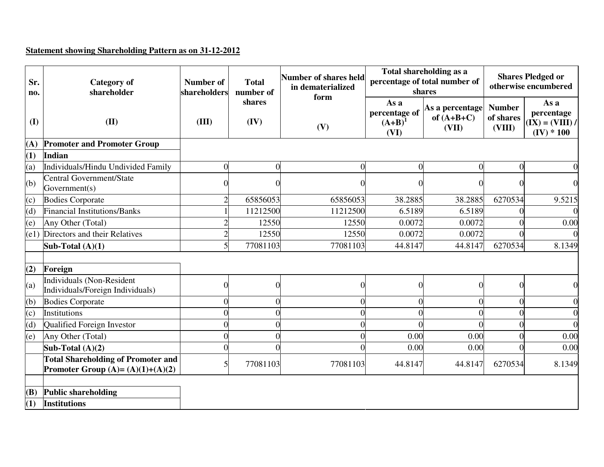## **Statement showing Shareholding Pattern as on 31-12-2012**

| Sr.<br>no.     | <b>Category</b> of<br>shareholder                                                | <b>Number of</b><br>shareholders | <b>Total</b><br>number of | Number of shares held<br>in dematerialized<br>form |                                              | Total shareholding as a<br>percentage of total number of<br>shares | <b>Shares Pledged or</b><br>otherwise encumbered |                                                         |  |
|----------------|----------------------------------------------------------------------------------|----------------------------------|---------------------------|----------------------------------------------------|----------------------------------------------|--------------------------------------------------------------------|--------------------------------------------------|---------------------------------------------------------|--|
| (I)            | (II)                                                                             | (III)                            | shares<br>(IV)<br>(V)     |                                                    | As a<br>percentage of<br>$(A+B)^{1}$<br>(VI) | As a percentage<br>of $(A+B+C)$<br>(VII)                           | <b>Number</b><br>of shares<br>(VIII)             | As a<br>percentage<br>$(IX) = (VIII) /$<br>$(IV) * 100$ |  |
| (A)            | <b>Promoter and Promoter Group</b>                                               |                                  |                           |                                                    |                                              |                                                                    |                                                  |                                                         |  |
| (1)            | <b>Indian</b>                                                                    |                                  |                           |                                                    |                                              |                                                                    |                                                  |                                                         |  |
| $\overline{a}$ | Individuals/Hindu Undivided Family                                               | $\overline{0}$                   | 0                         | $\theta$                                           | $\Omega$                                     | $\Omega$                                                           |                                                  |                                                         |  |
| (b)            | Central Government/State<br>Government(s)                                        |                                  |                           |                                                    |                                              |                                                                    |                                                  |                                                         |  |
| (c)            | <b>Bodies Corporate</b>                                                          |                                  | 65856053                  | 65856053                                           | 38.2885                                      | 38.2885                                                            | 6270534                                          | 9.5215                                                  |  |
| (d)            | <b>Financial Institutions/Banks</b>                                              |                                  | 11212500                  | 11212500                                           | 6.5189                                       | 6.5189                                                             |                                                  |                                                         |  |
| (e)            | Any Other (Total)                                                                |                                  | 12550                     | 12550                                              | 0.0072                                       | 0.0072                                                             |                                                  | 0.00                                                    |  |
|                | (e1) Directors and their Relatives                                               |                                  | 12550                     | 12550                                              | 0.0072                                       | 0.0072                                                             |                                                  |                                                         |  |
|                | Sub-Total $(A)(1)$                                                               | 5                                | 77081103                  | 77081103                                           | 44.8147                                      | 44.8147                                                            | 6270534                                          | 8.1349                                                  |  |
|                |                                                                                  |                                  |                           |                                                    |                                              |                                                                    |                                                  |                                                         |  |
| (2)            | Foreign                                                                          |                                  |                           |                                                    |                                              |                                                                    |                                                  |                                                         |  |
| (a)            | <b>Individuals (Non-Resident</b><br>Individuals/Foreign Individuals)             | 0                                | 0                         | ∩                                                  | $\Omega$                                     |                                                                    |                                                  |                                                         |  |
| (b)            | <b>Bodies Corporate</b>                                                          |                                  |                           |                                                    |                                              |                                                                    |                                                  |                                                         |  |
| (c)            | Institutions                                                                     |                                  |                           |                                                    |                                              |                                                                    |                                                  |                                                         |  |
| (d)            | Qualified Foreign Investor                                                       |                                  |                           |                                                    |                                              |                                                                    |                                                  |                                                         |  |
| (e)            | Any Other (Total)                                                                |                                  |                           |                                                    | 0.00                                         | 0.00                                                               |                                                  | 0.00                                                    |  |
|                | Sub-Total $(A)(2)$                                                               |                                  |                           |                                                    | 0.00                                         | 0.00                                                               |                                                  | 0.00                                                    |  |
|                | <b>Total Shareholding of Promoter and</b><br>Promoter Group (A)= $(A)(1)+(A)(2)$ | 5                                | 77081103                  | 77081103                                           | 44.8147                                      | 44.8147                                                            | 6270534                                          | 8.1349                                                  |  |
|                |                                                                                  |                                  |                           |                                                    |                                              |                                                                    |                                                  |                                                         |  |
| (B)            | <b>Public shareholding</b>                                                       |                                  |                           |                                                    |                                              |                                                                    |                                                  |                                                         |  |
| (1)            | <b>Institutions</b>                                                              |                                  |                           |                                                    |                                              |                                                                    |                                                  |                                                         |  |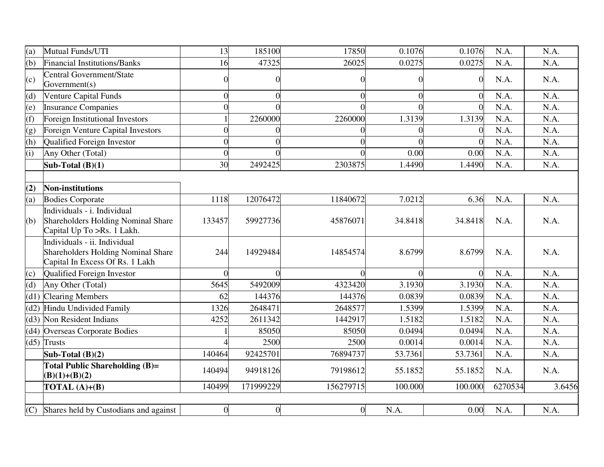| (a)  | Mutual Funds/UTI                                                                                             | 13       | 185100         | 17850          | 0.1076   | 0.1076         | N.A.    | N.A.   |
|------|--------------------------------------------------------------------------------------------------------------|----------|----------------|----------------|----------|----------------|---------|--------|
| (b)  | <b>Financial Institutions/Banks</b>                                                                          | 16       | 47325          | 26025          | 0.0275   | 0.0275         | N.A.    | N.A.   |
| (c)  | <b>Central Government/State</b><br>Government(s)                                                             |          | $\Omega$       | $\theta$       | 0        | $\overline{0}$ | N.A.    | N.A.   |
| (d)  | <b>Venture Capital Funds</b>                                                                                 |          | $\Omega$       | $\overline{0}$ |          | 0              | N.A.    | N.A.   |
| (e)  | <b>Insurance Companies</b>                                                                                   |          |                | $\Omega$       |          | $\Omega$       | N.A.    | N.A.   |
| (f)  | <b>Foreign Institutional Investors</b>                                                                       |          | 2260000        | 2260000        | 1.3139   | 1.3139         | N.A.    | N.A.   |
| (g)  | <b>Foreign Venture Capital Investors</b>                                                                     |          |                |                |          | $\Omega$       | N.A.    | N.A.   |
| (h)  | Qualified Foreign Investor                                                                                   |          |                | 0              |          |                | N.A.    | N.A.   |
| (i)  | Any Other (Total)                                                                                            | $\Omega$ |                | $\Omega$       | 0.00     | 0.00           | N.A.    | N.A.   |
|      | Sub-Total $(B)(1)$                                                                                           | 30       | 2492425        | 2303875        | 1.4490   | 1.4490         | N.A.    | N.A.   |
|      |                                                                                                              |          |                |                |          |                |         |        |
| (2)  | <b>Non-institutions</b>                                                                                      |          |                |                |          |                |         |        |
| (a)  | <b>Bodies Corporate</b>                                                                                      | 1118     | 12076472       | 11840672       | 7.0212   | 6.36           | N.A.    | N.A.   |
| (b)  | Individuals - i. Individual<br><b>Shareholders Holding Nominal Share</b><br>Capital Up To >Rs. 1 Lakh.       | 133457   | 59927736       | 45876071       | 34.8418  | 34.8418        | N.A.    | N.A.   |
|      | Individuals - ii. Individual<br><b>Shareholders Holding Nominal Share</b><br>Capital In Excess Of Rs. 1 Lakh | 244      | 14929484       | 14854574       | 8.6799   | 8.6799         | N.A.    | N.A.   |
| (c)  | Qualified Foreign Investor                                                                                   | $\Omega$ | O              | $\Omega$       | $\Omega$ | $\theta$       | N.A.    | N.A.   |
| (d)  | Any Other (Total)                                                                                            | 5645     | 5492009        | 4323420        | 3.1930   | 3.1930         | N.A.    | N.A.   |
| (d1) | <b>Clearing Members</b>                                                                                      | 62       | 144376         | 144376         | 0.0839   | 0.0839         | N.A.    | N.A.   |
| (d2) | Hindu Undivided Family                                                                                       | 1326     | 2648471        | 2648577        | 1.5399   | 1.5399         | N.A.    | N.A.   |
|      | (d3) Non Resident Indians                                                                                    | 4252     | 2611342        | 1442917        | 1.5182   | 1.5182         | N.A.    | N.A.   |
|      | (d4) Overseas Corporate Bodies                                                                               |          | 85050          | 85050          | 0.0494   | 0.0494         | N.A.    | N.A.   |
|      | $(d5)$ Trusts                                                                                                |          | 2500           | 2500           | 0.0014   | 0.0014         | N.A.    | N.A.   |
|      | Sub-Total $(B)(2)$                                                                                           | 140464   | 92425701       | 76894737       | 53.7361  | 53.7361        | N.A.    | N.A.   |
|      | Total Public Shareholding (B)=<br>$(B)(1)+(B)(2)$                                                            | 140494   | 94918126       | 79198612       | 55.1852  | 55.1852        | N.A.    | N.A.   |
|      | TOTAL $(A)+(B)$                                                                                              | 140499   | 171999229      | 156279715      | 100.000  | 100.000        | 6270534 | 3.6456 |
|      |                                                                                                              |          |                |                |          |                |         |        |
| (C)  | Shares held by Custodians and against                                                                        | $\theta$ | $\overline{0}$ | $\overline{0}$ | N.A.     | 0.00           | N.A.    | N.A.   |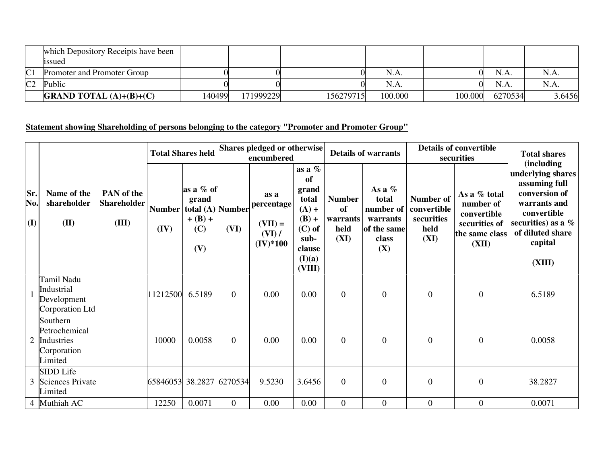|                | which Depository Receipts have been<br>1ssued |        |           |           |         |         |         |        |
|----------------|-----------------------------------------------|--------|-----------|-----------|---------|---------|---------|--------|
| C <sub>1</sub> | Promoter and Promoter Group                   |        |           |           | N.A.    |         | N.A.    |        |
| C <sub>2</sub> | Public                                        |        |           |           | N.A.    |         | N.A.    |        |
|                | <b>GRAND TOTAL</b> $(A)+(B)+(C)$              | 140499 | 171999229 | 156279715 | 100.000 | 100.000 | 6270534 | 3.6456 |

## **Statement showing Shareholding of persons belonging to the category "Promoter and Promoter Group"**

|                   |                                                                   |                                                  | <b>Total Shares held</b> |                                                                   | Shares pledged or otherwise<br>encumbered |                                                         |                                                                                                          | <b>Details of warrants</b>                      |                                                                           | <b>Details of convertible</b><br>securities            |                                                                                      | <b>Total shares</b>                                                                                                                                               |  |
|-------------------|-------------------------------------------------------------------|--------------------------------------------------|--------------------------|-------------------------------------------------------------------|-------------------------------------------|---------------------------------------------------------|----------------------------------------------------------------------------------------------------------|-------------------------------------------------|---------------------------------------------------------------------------|--------------------------------------------------------|--------------------------------------------------------------------------------------|-------------------------------------------------------------------------------------------------------------------------------------------------------------------|--|
| Sr.<br>No.<br>(I) | Name of the<br>shareholder<br>(II)                                | <b>PAN</b> of the<br><b>Shareholder</b><br>(III) | <b>Number</b><br>(IV)    | as a % of<br>grand<br>total (A) Number<br>$+ (B) +$<br>(C)<br>(V) | (VI)                                      | as a<br>percentage<br>$(VII) =$<br>(VI) /<br>$(IV)*100$ | as a $%$<br>of<br>grand<br>total<br>$(A) +$<br>$(B) +$<br>$(C)$ of<br>sub-<br>clause<br>(I)(a)<br>(VIII) | <b>Number</b><br>of<br>warrants<br>held<br>(XI) | As a $%$<br>total<br>number of<br>warrants<br>of the same<br>class<br>(X) | Number of<br>convertible<br>securities<br>held<br>(XI) | As a % total<br>number of<br>convertible<br>securities of<br>the same class<br>(XII) | (including<br>underlying shares<br>assuming full<br>conversion of<br>warrants and<br>convertible<br>securities) as a $%$<br>of diluted share<br>capital<br>(XIII) |  |
|                   | Tamil Nadu<br>Industrial<br>Development<br>Corporation Ltd        |                                                  | 11212500                 | 6.5189                                                            | $\mathbf{0}$                              | 0.00                                                    | 0.00                                                                                                     | $\overline{0}$                                  | $\overline{0}$                                                            | $\overline{0}$                                         | $\boldsymbol{0}$                                                                     | 6.5189                                                                                                                                                            |  |
| $\overline{2}$    | Southern<br>Petrochemical<br>Industries<br>Corporation<br>Limited |                                                  | 10000                    | 0.0058                                                            | $\mathbf{0}$                              | 0.00                                                    | 0.00                                                                                                     | $\overline{0}$                                  | $\boldsymbol{0}$                                                          | $\mathbf{0}$                                           | $\boldsymbol{0}$                                                                     | 0.0058                                                                                                                                                            |  |
| 3                 | SIDD Life<br>Sciences Private<br>Limited                          |                                                  |                          | 65846053 38.2827 6270534                                          |                                           | 9.5230                                                  | 3.6456                                                                                                   | $\overline{0}$                                  | $\overline{0}$                                                            | $\overline{0}$                                         | $\boldsymbol{0}$                                                                     | 38.2827                                                                                                                                                           |  |
|                   | 4 Muthiah AC                                                      |                                                  | 12250                    | 0.0071                                                            | $\boldsymbol{0}$                          | 0.00                                                    | 0.00                                                                                                     | $\overline{0}$                                  | $\overline{0}$                                                            | $\mathbf{0}$                                           | $\boldsymbol{0}$                                                                     | 0.0071                                                                                                                                                            |  |